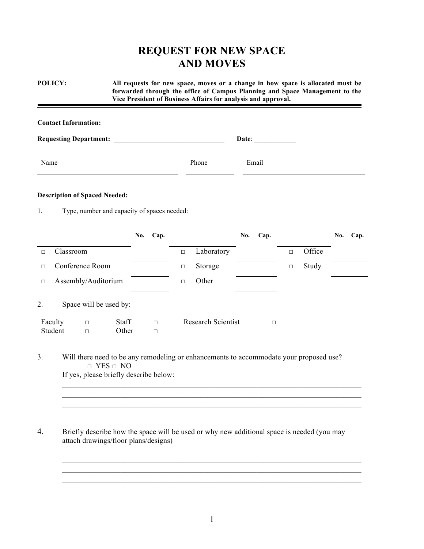## **REQUEST FOR NEW SPACE AND MOVES**

| POLICY:                              | All requests for new space, moves or a change in how space is allocated must be<br>forwarded through the office of Campus Planning and Space Management to the<br>Vice President of Business Affairs for analysis and approval. |                       |                  |        |                                                                                        |       |        |        |        |     |      |
|--------------------------------------|---------------------------------------------------------------------------------------------------------------------------------------------------------------------------------------------------------------------------------|-----------------------|------------------|--------|----------------------------------------------------------------------------------------|-------|--------|--------|--------|-----|------|
| <b>Contact Information:</b>          |                                                                                                                                                                                                                                 |                       |                  |        |                                                                                        |       |        |        |        |     |      |
|                                      |                                                                                                                                                                                                                                 |                       |                  |        |                                                                                        | Date: |        |        |        |     |      |
| Name                                 |                                                                                                                                                                                                                                 |                       |                  |        | Phone                                                                                  | Email |        |        |        |     |      |
| <b>Description of Spaced Needed:</b> |                                                                                                                                                                                                                                 |                       |                  |        |                                                                                        |       |        |        |        |     |      |
| 1.                                   | Type, number and capacity of spaces needed:                                                                                                                                                                                     |                       |                  |        |                                                                                        |       |        |        |        |     |      |
|                                      |                                                                                                                                                                                                                                 | No.                   | Cap.             |        |                                                                                        | No.   | Cap.   |        |        | No. | Cap. |
| Classroom<br>$\Box$                  |                                                                                                                                                                                                                                 |                       |                  | $\Box$ | Laboratory                                                                             |       |        | $\Box$ | Office |     |      |
| Conference Room<br>$\Box$            |                                                                                                                                                                                                                                 |                       |                  | $\Box$ | Storage                                                                                |       |        | $\Box$ | Study  |     |      |
| Assembly/Auditorium<br>$\Box$        |                                                                                                                                                                                                                                 |                       | $\Box$           | Other  |                                                                                        |       |        |        |        |     |      |
| 2.                                   | Space will be used by:                                                                                                                                                                                                          |                       |                  |        |                                                                                        |       |        |        |        |     |      |
| Faculty<br>Student                   | $\Box$<br>$\Box$                                                                                                                                                                                                                | <b>Staff</b><br>Other | $\Box$<br>$\Box$ |        | <b>Research Scientist</b>                                                              |       | $\Box$ |        |        |     |      |
| 3.                                   |                                                                                                                                                                                                                                 |                       |                  |        | Will there need to be any remodeling or enhancements to accommodate your proposed use? |       |        |        |        |     |      |

□ YES □ NO If yes, please briefly describe below:

4. Briefly describe how the space will be used or why new additional space is needed (you may attach drawings/floor plans/designs)

\_\_\_\_\_\_\_\_\_\_\_\_\_\_\_\_\_\_\_\_\_\_\_\_\_\_\_\_\_\_\_\_\_\_\_\_\_\_\_\_\_\_\_\_\_\_\_\_\_\_\_\_\_\_\_\_\_\_\_\_\_\_\_\_\_\_\_\_\_\_\_\_  $\mathcal{L}_\mathcal{L} = \{ \mathcal{L}_\mathcal{L} = \{ \mathcal{L}_\mathcal{L} = \{ \mathcal{L}_\mathcal{L} = \{ \mathcal{L}_\mathcal{L} = \{ \mathcal{L}_\mathcal{L} = \{ \mathcal{L}_\mathcal{L} = \{ \mathcal{L}_\mathcal{L} = \{ \mathcal{L}_\mathcal{L} = \{ \mathcal{L}_\mathcal{L} = \{ \mathcal{L}_\mathcal{L} = \{ \mathcal{L}_\mathcal{L} = \{ \mathcal{L}_\mathcal{L} = \{ \mathcal{L}_\mathcal{L} = \{ \mathcal{L}_\mathcal{$ 

 $\mathcal{L}_\mathcal{L} = \{ \mathcal{L}_\mathcal{L} = \{ \mathcal{L}_\mathcal{L} = \{ \mathcal{L}_\mathcal{L} = \{ \mathcal{L}_\mathcal{L} = \{ \mathcal{L}_\mathcal{L} = \{ \mathcal{L}_\mathcal{L} = \{ \mathcal{L}_\mathcal{L} = \{ \mathcal{L}_\mathcal{L} = \{ \mathcal{L}_\mathcal{L} = \{ \mathcal{L}_\mathcal{L} = \{ \mathcal{L}_\mathcal{L} = \{ \mathcal{L}_\mathcal{L} = \{ \mathcal{L}_\mathcal{L} = \{ \mathcal{L}_\mathcal{$